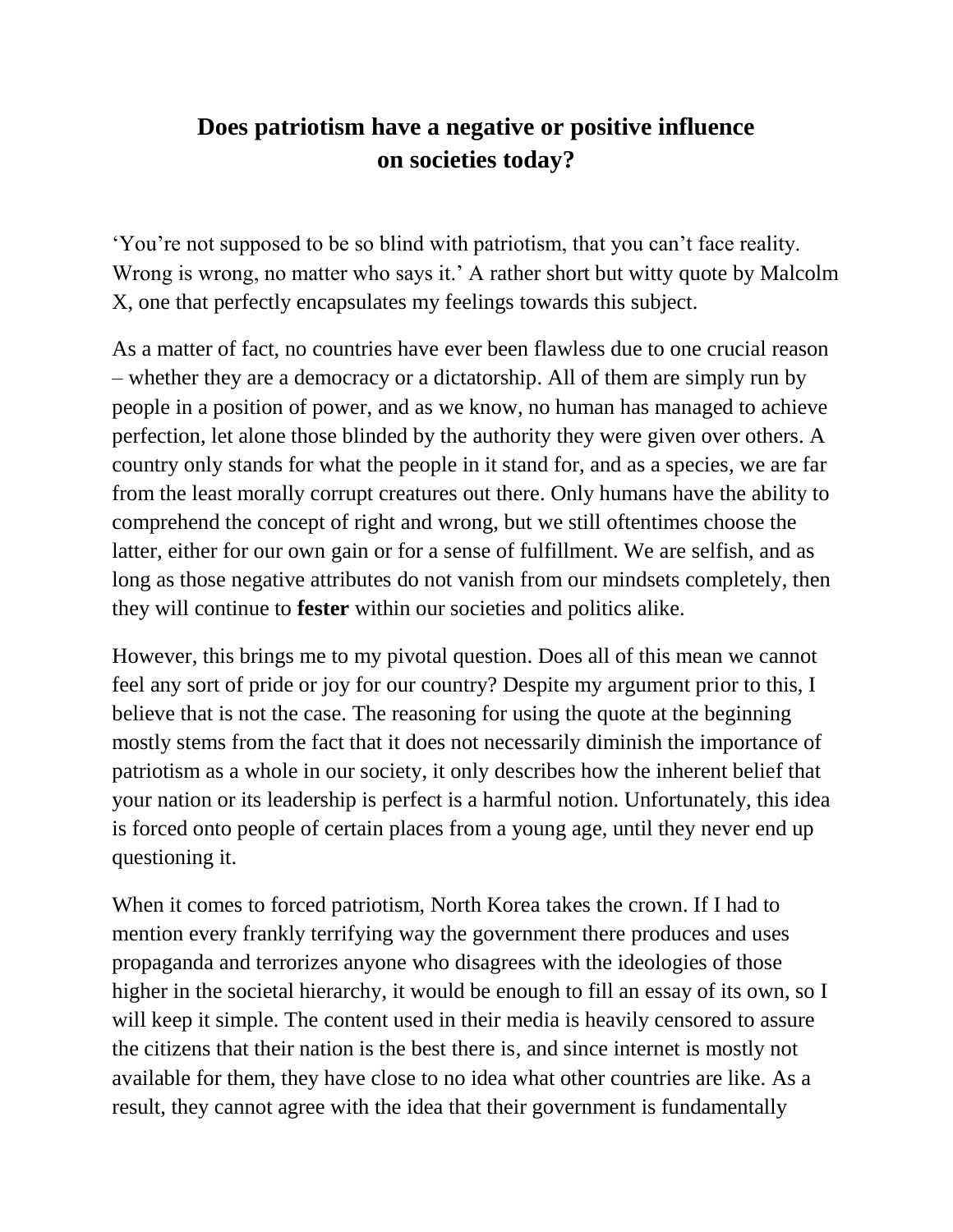## **Does patriotism have a negative or positive influence on societies today?**

'You're not supposed to be so blind with patriotism, that you can't face reality. Wrong is wrong, no matter who says it.' A rather short but witty quote by Malcolm X, one that perfectly encapsulates my feelings towards this subject.

As a matter of fact, no countries have ever been flawless due to one crucial reason – whether they are a democracy or a dictatorship. All of them are simply run by people in a position of power, and as we know, no human has managed to achieve perfection, let alone those blinded by the authority they were given over others. A country only stands for what the people in it stand for, and as a species, we are far from the least morally corrupt creatures out there. Only humans have the ability to comprehend the concept of right and wrong, but we still oftentimes choose the latter, either for our own gain or for a sense of fulfillment. We are selfish, and as long as those negative attributes do not vanish from our mindsets completely, then they will continue to **fester** within our societies and politics alike.

However, this brings me to my pivotal question. Does all of this mean we cannot feel any sort of pride or joy for our country? Despite my argument prior to this, I believe that is not the case. The reasoning for using the quote at the beginning mostly stems from the fact that it does not necessarily diminish the importance of patriotism as a whole in our society, it only describes how the inherent belief that your nation or its leadership is perfect is a harmful notion. Unfortunately, this idea is forced onto people of certain places from a young age, until they never end up questioning it.

When it comes to forced patriotism, North Korea takes the crown. If I had to mention every frankly terrifying way the government there produces and uses propaganda and terrorizes anyone who disagrees with the ideologies of those higher in the societal hierarchy, it would be enough to fill an essay of its own, so I will keep it simple. The content used in their media is heavily censored to assure the citizens that their nation is the best there is, and since internet is mostly not available for them, they have close to no idea what other countries are like. As a result, they cannot agree with the idea that their government is fundamentally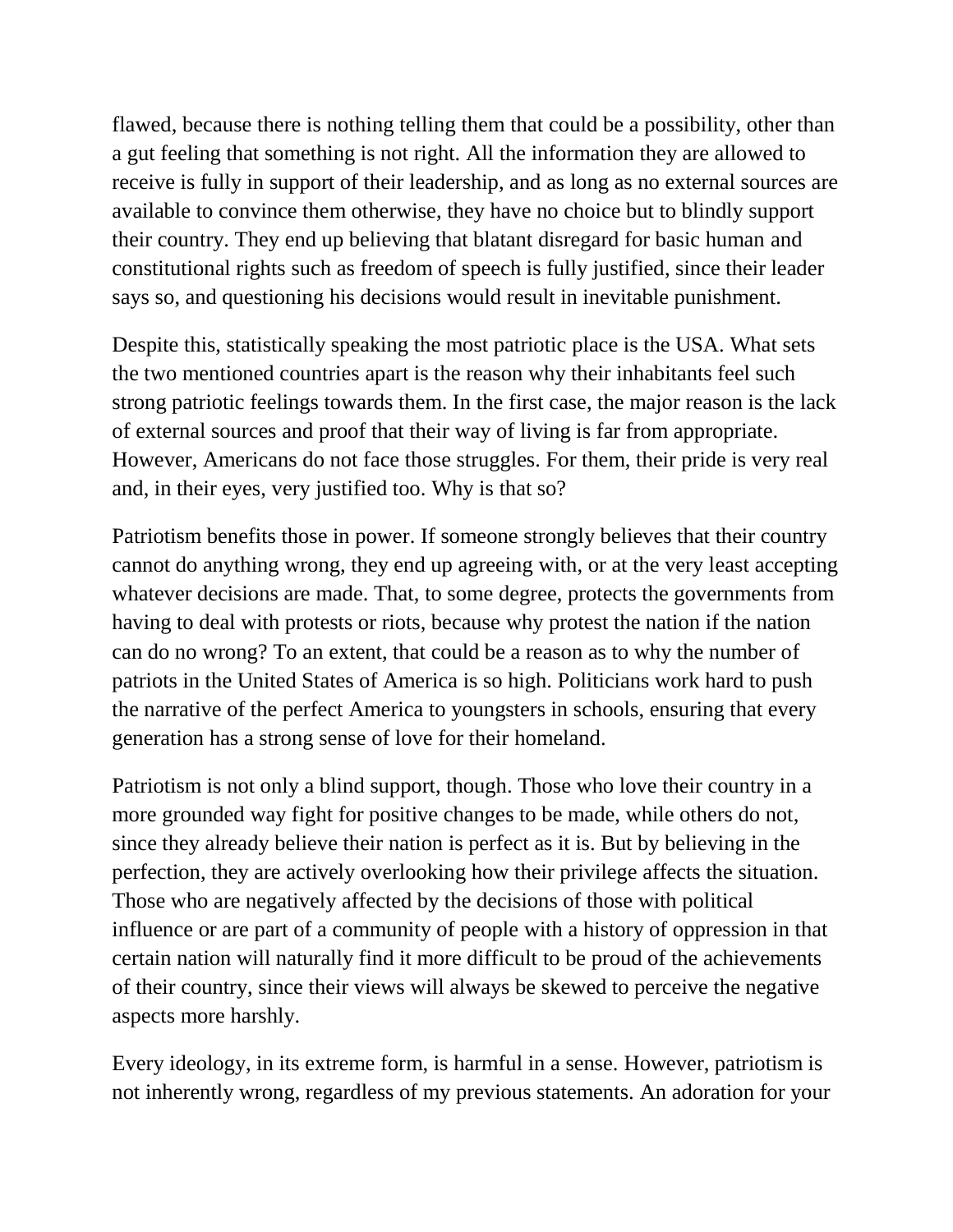flawed, because there is nothing telling them that could be a possibility, other than a gut feeling that something is not right. All the information they are allowed to receive is fully in support of their leadership, and as long as no external sources are available to convince them otherwise, they have no choice but to blindly support their country. They end up believing that blatant disregard for basic human and constitutional rights such as freedom of speech is fully justified, since their leader says so, and questioning his decisions would result in inevitable punishment.

Despite this, statistically speaking the most patriotic place is the USA. What sets the two mentioned countries apart is the reason why their inhabitants feel such strong patriotic feelings towards them. In the first case, the major reason is the lack of external sources and proof that their way of living is far from appropriate. However, Americans do not face those struggles. For them, their pride is very real and, in their eyes, very justified too. Why is that so?

Patriotism benefits those in power. If someone strongly believes that their country cannot do anything wrong, they end up agreeing with, or at the very least accepting whatever decisions are made. That, to some degree, protects the governments from having to deal with protests or riots, because why protest the nation if the nation can do no wrong? To an extent, that could be a reason as to why the number of patriots in the United States of America is so high. Politicians work hard to push the narrative of the perfect America to youngsters in schools, ensuring that every generation has a strong sense of love for their homeland.

Patriotism is not only a blind support, though. Those who love their country in a more grounded way fight for positive changes to be made, while others do not, since they already believe their nation is perfect as it is. But by believing in the perfection, they are actively overlooking how their privilege affects the situation. Those who are negatively affected by the decisions of those with political influence or are part of a community of people with a history of oppression in that certain nation will naturally find it more difficult to be proud of the achievements of their country, since their views will always be skewed to perceive the negative aspects more harshly.

Every ideology, in its extreme form, is harmful in a sense. However, patriotism is not inherently wrong, regardless of my previous statements. An adoration for your